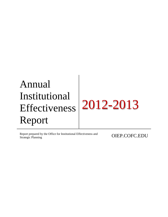# Annual Institutional Effectiveness Report 2012-2013

Report prepared by the Office for Institutional Effectiveness and **OIEP.COFC.EDU**<br>Strategic Planning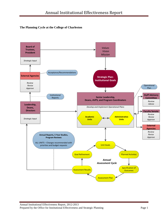## **The Planning Cycle at the College of Charleston**

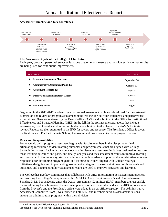## **Assessment Timeline and Key Milestones**



#### **The Assessment Cycle at the College of Charleston**

Each year, program personnel select at least one outcome to measure and provide evidence that results are being used for continuous improvement.

| <b>ACTIVITY</b>                                | <b>DEADLINE</b> |
|------------------------------------------------|-----------------|
| <b>Academic Assessment Plans due</b>           | September 30    |
| <b>Administrative Assessment Plans due</b>     | October 31      |
| <b>Assessment Reports due</b>                  | May $15$        |
| <b>Deans'/Unit Administrators' Report</b><br>► | June 15         |
| <b>EVP</b> review                              | July            |
| <b>President review</b>                        | August          |

Beginning in the 2011-2012 academic year, an annual assessment cycle was developed for the systematic submission and review of program assessment plans that include outcome statements and performance expectations. Plans are reviewed by the Deans' offices/AVPs and submitted to the Office for Institutional Effectiveness and Strategic Planning (OIEP) in the fall. In the spring semester, reports that include assessments, use of results, and impact on budget are submitted to the Deans' office/AVPs for initial review. Reports are then submitted to the EVP for review and response. The President's Office is given the final review. For the Graduate School, the assessment process also includes program review.

#### **Roles and Responsibilities**

For academic units, program assessment begins with faculty members in the discipline or field articulating measurable student learning outcomes and program goals that are aligned with College Strategic Initiatives. Each unit then develops and implements assessment initiatives designed to measure those learning outcomes and goals, and finally, analyzes and uses assessment results to improve learning and programs. In the same way, staff and administrators in academic support and administrative units are responsible for developing program goals and learning outcomes aligned with College Strategic Initiatives, designing and implementing assessment strategies to measure attainment of those goals and outcomes, and documenting how assessment results are used to improve programs and learning.

The College has two key committees that collaborate with OIEP in promoting best assessment practices and ensuring the College's compliance with SACSCOC Core Requirement 2.5 and Comprehensive Standard 3.3.1. For academic units, the Deans' Assessment Committee (DAC) members are responsible for coordinating the submission of assessment plans/reports to the academic dean. In 2013, representation from the Provost's and the President's office were added in an ex-officio capacity. The Administrative Assessment Committee (AAC) was formed in Fall 2012, and members serve as assessment liaisons among the administrative programs within their division.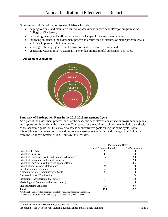Other responsibilities of the Assessment Liaisons include:

- helping to create and maintain a culture of assessment in each school/major/program at the College of Charleston;
- motivating faculty and staff participation in all steps of the assessment process;
- involving students in the assessment process to ensure their awareness of major/program goals and their important role in the process;
- working with the program directors to coordinate assessment efforts; and
- generating ways to involve external stakeholders in meaningful assessment activities.

#### **Assessment Leadership**



#### **Summary of Participation Rates in the 2012-2013 Assessment Cycle**

As a part of the assessment process, each of the academic schools/divisions reviews programmatic plans and reports continuously within the cycle. The reports for the academic schools may include a synthesis of the academic goals, but they may also assess administrative goals during the same cycle. Each school/division demonstrates connections between assessment activities and strategic goals/initiatives from the College's Strategic Plan, *Gateways to Greatness*.

|                                                                                  | Participation Rates    |                 |
|----------------------------------------------------------------------------------|------------------------|-----------------|
|                                                                                  | # of Programs Included | % Participation |
| School of the Arts <sup>**</sup>                                                 |                        | 100             |
| School of Business <sup>7</sup>                                                  |                        | 100             |
| School of Education, Health and Human Performance                                |                        | 94              |
| School of Humanities and Social Sciences                                         | 18                     | 94              |
| School of Languages, Cultures and World Affairs                                  |                        | 86              |
| School of Sciences and Mathematics                                               | 24                     | 100             |
| Interdisciplinary Programs                                                       | 4                      | 100             |
| Academic Affairs - Administrative Units                                          | 25                     | 100             |
| Business Affairs (IT unit only)                                                  |                        | 100             |
| Institutional Advancement (All depts.)                                           |                        | 100             |
| Marketing and Communications (All depts.)                                        |                        | 100             |
| Student Affairs (All depts.)                                                     | 19                     | 90              |
| <b>Total</b>                                                                     | 134                    | 97              |
| * Participation rates reflect programs selected by division heads for assessment |                        |                 |

Participation rates reflect programs selected by division heads for assessment.

\*\* See Appendix A for a complete listing of academic programs included.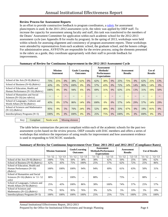#### **Review Process for Assessment Reports**

 $Key:$  Compliant Needs work Missing element

In an effort to provide constructive feedback to program coordinators, a [rubric](http://oiep.cofc.edu/assessment/assessment-rubric.php) for assessment plans/reports is used. In the 2011-2012 assessment cycle, the rubric was applied by OIEP staff. To increase the capacity for assessment among faculty and staff, this task was transferred to the members of the Deans' Assessment Committee for application within each academic school for the 2012-2013 assessment cycle (see Appendix B for results by program). In the spring of 2013, workshops were held within schools for assessing alignment and consistency of program assessment reports. These workshops were attended by representatives from each academic school, the graduate school, and the honors college. For administrative areas, AVP/EVPs are responsible for the review process; using the elements presented in the rubric as a guide, they coordinate appropriately with their staff to provide feedback for improvements.

|                                                                              | <b>Mission</b><br><b>Statement</b> |     |       | <b>Goals/Learning</b><br><b>Outcomes</b> |       |       | Assessment<br>Methods/<br><b>Performance</b><br><b>Expectations</b> |     |       |      | Assessment<br><b>Results</b> |     | Use of<br><b>Results</b> |     |       |
|------------------------------------------------------------------------------|------------------------------------|-----|-------|------------------------------------------|-------|-------|---------------------------------------------------------------------|-----|-------|------|------------------------------|-----|--------------------------|-----|-------|
| School of the Arts $(N=8)$ (Rubric)                                          | 75%                                | 25% | $0\%$ | 38%                                      | 62%   | $0\%$ | 62%                                                                 | 38% | 0%    | 25%  | 75%                          | 0%  | 62%                      | 25% | 13%   |
| School of Business (N=8) ( $Rubic$ )                                         | 43%                                | 0%  | 57%   | 100%                                     | 0%    | $0\%$ | 57%                                                                 | 43% | 0%    | 72%  | 14%                          | 14% | 86%                      | 14% | 0%    |
| School of Education. Health and<br>Human Performance (N=16) ( $Rubic$ )      | 100%                               | 0%  | $0\%$ | 94%                                      | 6%    | 0%    | 69%                                                                 | 31% | $0\%$ | 63%  | 25%                          | 13% | 31%                      | 19% | 50%   |
| School of Humanities and Social<br>Sciences ( $N=16$ ) ( <i>no rubrics</i> ) | $-$                                |     |       | --                                       | $- -$ | $- -$ |                                                                     | $-$ | $-$   | --   | --                           | $-$ | --                       |     |       |
| School of Languages, Cultures and<br>World Affairs (N=8) (Rubric)            | 43%                                | 0%  | 57%   | 86%                                      | 14%   | $0\%$ | 100%                                                                | 0%  | $0\%$ | 57%  | 14%                          | 29% | 57%                      | 14% | 29%   |
| School of Sciences and Mathematics<br>$(N=22)$ (Rubric)                      | 95%                                | 0%  | 5%    | 76%                                      | 24%   | 0%    | 52%                                                                 | 48% | $0\%$ | 33%  | 67%                          | 0%  | 19%                      | 81% | $0\%$ |
| Interdisciplinary Programs $(N=3)$                                           | 100%                               | 0%  | $0\%$ | 100%                                     | 0%    | 0%    | 25%                                                                 | 75% | 0%    | 100% | 0%                           | 0%  | 100%                     | 0%  | $0\%$ |
|                                                                              |                                    |     |       |                                          |       |       |                                                                     |     |       |      |                              |     |                          |     |       |

#### **Summary of Review for Continuous Improvement in the 2012-2013 Assessment Cycle**

The table below summarizes the percent compliant within each of the academic schools for the past two assessment cycles based on the review process. OIEP consults with DAC members and offers a series of workshops that reinforce the importance of using results for improvement and how assessment evidence is used in responding to SACSCOC standards.

## **Summary of Review for Continuous Improvement Over Time: 2011-2012 and 2012-2013\* (Compliance Rates)**

|                                                                                        |            | <b>Mission Statement</b> | Goals/Learning<br><b>Outcomes</b> |            | <b>Methods/Performance</b> | Assessment<br><b>Expectations</b> |            | Assessment<br><b>Results</b> | <b>Use of Results</b> |            |  |
|----------------------------------------------------------------------------------------|------------|--------------------------|-----------------------------------|------------|----------------------------|-----------------------------------|------------|------------------------------|-----------------------|------------|--|
|                                                                                        | $'11 - 12$ | $'12 - 13$               | $'11 - 12$                        | $'12 - 13$ | $'11 - 12$                 | $'12 - 13$                        | $'11 - 12$ | $'12 - 13$                   | $'11 - 12$            | $'12 - 13$ |  |
| School of the Arts $(N=8)$ ( <i>Rubric</i> )                                           | 100%       | 75%                      | 50%                               | 38%        | 38%                        | 62%                               | 50%        | 25%                          | 50%                   | 62%        |  |
| School of Business (N=8) ( $Rubric$ )                                                  | 62%        | 43%                      | 75%                               | 100%       | 25%                        | 57%                               | 62%        | 72%                          | 25%                   | 86%        |  |
| School of Education, Health and<br>Human Performance $(N=16)$<br>(Rubric)              | 100%       | 100%                     | 100%                              | 94%        | 94%                        | 69%                               | 61%        | 63%                          | 50%                   | 31%        |  |
| School of Humanities and Social<br>Sciences (N=16) (Rubric in '11-'12<br>$\text{only}$ | 88%        |                          | 100%                              | $- -$      | 88%                        | $-$                               | 75%        | --                           | 88%                   |            |  |
| School of Languages, Cultures and<br>World Affairs ( $N=8$ ) ( <i>Rubric</i> )         | 25%        | 43%                      | 100%                              | 86%        | 38%                        | 100%                              | 74%        | 57%                          | 25%                   | 57%        |  |
| School of Sciences and<br>Mathematics (N=22) ( $Rubic$ )                               | 77%        | 95%                      | 95%                               | 76%        | 9%                         | 52%                               | 5%         | 33%                          | 5%                    | 19%        |  |
| Interdisciplinary Programs $(N=3)$                                                     | 100%       | 100%                     | 100%                              | 100%       | 25%                        | 25%                               | 75%        | 100\%                        | 25%                   | 100%       |  |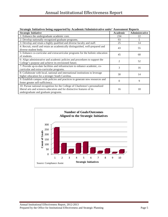| <b>Strategic Initiative</b>                                                                                                                                                                     | <b>Academic</b> | Administrative |
|-------------------------------------------------------------------------------------------------------------------------------------------------------------------------------------------------|-----------------|----------------|
| 1: Enhance the undergraduate academic core.                                                                                                                                                     | 234             | 22             |
| 2: Develop nationally recognized graduate programs.                                                                                                                                             | 93              | 5              |
| 3: Develop and retain a highly qualified and diverse faculty and staff.                                                                                                                         | 25              | 14             |
| 4: Recruit, enroll and retain an academically distinguished, well-prepared and<br>diverse student body.                                                                                         | 43              | 55             |
| 5: Enhance co-curricular and extracurricular programs for the holistic education<br>of students.                                                                                                | 45              | 68             |
| 6: Align administrative and academic policies and procedures to support the<br>College's purpose and achieve its envisioned future.                                                             | $\mathfrak{D}$  | 52             |
| 7: Provide up-to-date facilities and infrastructure to enhance academic, co-<br>curricular and extra-curricular programs.                                                                       | 3               | 16             |
| 8: Collaborate with local, national and international institutions to leverage<br>higher education for a stronger South Carolina.                                                               | 30              | 14             |
| 9: Establish campus wide policies and practices to generate new resources and<br>foster greater self-sufficiency.                                                                               | $\Omega$        | 9              |
| 10: Pursue national recognition for the College of Charleston's personalized<br>liberal arts and sciences education and for distinctive features of its<br>undergraduate and graduate programs. | 16              | 18             |



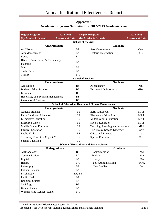| <b>Degree Program</b>              | 2012-2013              |           | <b>Degree Program</b>                                    | 2012-2013              |
|------------------------------------|------------------------|-----------|----------------------------------------------------------|------------------------|
| (by Academic School)               | <b>Assessment Data</b> |           | (by Academic School)                                     | <b>Assessment Data</b> |
|                                    |                        |           | <b>School of the Arts</b>                                |                        |
|                                    | Undergraduate          |           | <b>Graduate</b>                                          |                        |
| Art History                        |                        | <b>BA</b> | Arts Management                                          | Cert                   |
| Arts Management                    |                        | <b>BA</b> | <b>Historic Preservation</b>                             | <b>MS</b>              |
| Dance                              |                        | <b>BA</b> |                                                          |                        |
| Historic Preservation & Community  |                        | <b>BA</b> |                                                          |                        |
| Planning                           |                        |           |                                                          |                        |
| Music                              |                        | <b>BA</b> |                                                          |                        |
| Studio Arts                        |                        | <b>BA</b> |                                                          |                        |
| Theatre                            |                        | <b>BA</b> |                                                          |                        |
|                                    |                        |           | <b>School of Business</b>                                |                        |
|                                    | Undergraduate          |           | <b>Graduate</b>                                          |                        |
| Accounting                         |                        | <b>BS</b> | Accountancy                                              | <b>MS</b>              |
| <b>Business Administration</b>     |                        | <b>BS</b> | <b>Business Administration</b>                           | <b>MBA</b>             |
| Economics                          |                        | <b>BS</b> |                                                          |                        |
| Hospitality and Tourism Management |                        | <b>BS</b> |                                                          |                        |
| <b>International Business</b>      |                        | <b>BS</b> |                                                          |                        |
|                                    |                        |           | <b>School of Education, Health and Human Performance</b> |                        |
|                                    | Undergraduate          |           | <b>Graduate</b>                                          |                        |
| <b>Athletic Training</b>           |                        | <b>BS</b> | Early Childhood                                          | <b>MAT</b>             |
| Early Childhood Education          |                        | <b>BS</b> | <b>Elementary Education</b>                              | <b>MAT</b>             |
| <b>Elementary Education</b>        |                        | <b>BS</b> | Middle Grades Education                                  | <b>MAT</b>             |
| <b>Exercise Science</b>            |                        | <b>BS</b> | <b>Special Education</b>                                 | <b>MAT</b>             |
| <b>Middle Grades Education</b>     |                        | <b>BS</b> | Teaching, Learning, and Advocacy                         | MEd                    |
| Physical Education                 |                        | <b>BS</b> | English as a Second Language                             | Cert                   |
| <b>Public Health</b>               |                        | <b>BS</b> | Gifted and Talented                                      | Cert                   |
| Secondary Education Cognate*       |                        | <b>BS</b> | <b>Special Education</b>                                 | Cert                   |
| <b>Special Education</b>           |                        | <b>BS</b> |                                                          |                        |
|                                    |                        |           | <b>School of Humanities and Social Sciences</b>          |                        |
|                                    | Undergraduate          |           | <b>Graduate</b>                                          |                        |
| Anthropology                       |                        | <b>BS</b> | Communication                                            | <b>MA</b>              |
| Communication                      |                        | BA        | English                                                  | MA                     |
| English                            |                        | <b>BA</b> | History                                                  | MA                     |
| History                            |                        | <b>BA</b> | Public Administration                                    | <b>MPA</b>             |
| Philosophy                         |                        | <b>BA</b> | <b>Urban Studies</b>                                     | Cert                   |
| <b>Political Science</b>           |                        | $\rm BA$  |                                                          |                        |
| Psychology                         |                        | BA, BS    |                                                          |                        |
| Public Health                      |                        | BA        |                                                          |                        |
| Religious Studies                  |                        | <b>BA</b> |                                                          |                        |
| Sociology                          |                        | <b>BS</b> |                                                          |                        |
| <b>Urban Studies</b>               |                        | <b>BA</b> |                                                          |                        |
| Women's and Gender Studies         |                        | <b>BA</b> |                                                          |                        |

## **Appendix A Academic Programs Submitted for 2012-2013 Academic Year**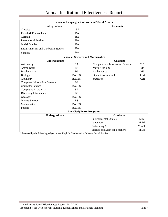| <b>School of Languages, Cultures and World Affairs</b> |                                   |                                           |           |  |  |  |  |  |  |  |  |
|--------------------------------------------------------|-----------------------------------|-------------------------------------------|-----------|--|--|--|--|--|--|--|--|
| Undergraduate                                          |                                   | Graduate                                  |           |  |  |  |  |  |  |  |  |
| Classics                                               | <b>BA</b>                         |                                           |           |  |  |  |  |  |  |  |  |
| French & Francophone                                   | <b>BA</b>                         |                                           |           |  |  |  |  |  |  |  |  |
| German                                                 | <b>BA</b>                         |                                           |           |  |  |  |  |  |  |  |  |
| <b>International Studies</b>                           | <b>BA</b>                         |                                           |           |  |  |  |  |  |  |  |  |
| <b>Jewish Studies</b>                                  | BA                                |                                           |           |  |  |  |  |  |  |  |  |
| Latin American and Caribbean Studies                   | <b>BA</b>                         |                                           |           |  |  |  |  |  |  |  |  |
| Spanish                                                | <b>BA</b>                         |                                           |           |  |  |  |  |  |  |  |  |
|                                                        |                                   | <b>School of Sciences and Mathematics</b> |           |  |  |  |  |  |  |  |  |
| Undergraduate                                          |                                   | <b>Graduate</b>                           |           |  |  |  |  |  |  |  |  |
| Astronomy                                              | <b>BA</b>                         | <b>Computer and Information Sciences</b>  | M.S.      |  |  |  |  |  |  |  |  |
| Astrophysics                                           | <b>BS</b>                         | Marine Biology                            | <b>MS</b> |  |  |  |  |  |  |  |  |
| Biochemistry                                           | <b>BS</b>                         | <b>Mathematics</b>                        | <b>MS</b> |  |  |  |  |  |  |  |  |
| Biology                                                | BA, BS                            | <b>Operations Research</b>                | Cert      |  |  |  |  |  |  |  |  |
| Chemistry                                              | BA, BS                            | <b>Statistics</b>                         | Cert      |  |  |  |  |  |  |  |  |
| <b>Computer Information Systems</b>                    | <b>BS</b>                         |                                           |           |  |  |  |  |  |  |  |  |
| <b>Computer Science</b>                                | BA, BS                            |                                           |           |  |  |  |  |  |  |  |  |
| Computing in the Arts                                  | <b>BA</b>                         |                                           |           |  |  |  |  |  |  |  |  |
| Discovery Informatics                                  | <b>BS</b>                         |                                           |           |  |  |  |  |  |  |  |  |
| Geology                                                | BA, BS                            |                                           |           |  |  |  |  |  |  |  |  |
| Marine Biology                                         | <b>BS</b>                         |                                           |           |  |  |  |  |  |  |  |  |
| <b>Mathematics</b>                                     | BA, BS                            |                                           |           |  |  |  |  |  |  |  |  |
| Physics                                                | BA, BS                            |                                           |           |  |  |  |  |  |  |  |  |
|                                                        | <b>Interdisciplinary Programs</b> |                                           |           |  |  |  |  |  |  |  |  |
| Undergraduate                                          |                                   | <b>Graduate</b>                           |           |  |  |  |  |  |  |  |  |
|                                                        |                                   | <b>Environmental Studies</b>              | M.S.      |  |  |  |  |  |  |  |  |
|                                                        |                                   | Languages                                 | M.Ed.     |  |  |  |  |  |  |  |  |
|                                                        |                                   | Performing Arts                           | M.A.T.    |  |  |  |  |  |  |  |  |
|                                                        |                                   | Science and Math for Teachers             | M.Ed.     |  |  |  |  |  |  |  |  |

\* Assessed by the following subject areas: English, Mathematics, Science, Social Studies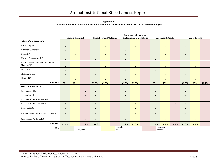**Appendix B Detailed Summary of Rubric Review for Continuous Improvement in the 2012-2013 Assessment Cycle**

|                                                    |              | <b>Mission Statement</b> |             |                           | <b>Goals/Learning Outcomes</b> |  |              | <b>Assessment Methods and</b><br><b>Performance Expectations</b> |  |              | <b>Assessment Results</b> |             | <b>Use of Results</b> |              |             |
|----------------------------------------------------|--------------|--------------------------|-------------|---------------------------|--------------------------------|--|--------------|------------------------------------------------------------------|--|--------------|---------------------------|-------------|-----------------------|--------------|-------------|
| School of the Arts (N=8)                           |              |                          |             |                           |                                |  |              |                                                                  |  |              |                           |             |                       |              |             |
| Art History BA                                     | $\mathbf X$  |                          |             |                           | $\mathbf{x}$                   |  |              | $\mathbf{X}$                                                     |  |              | $\mathbf{X}$              |             | $\mathbf X$           |              |             |
| Arts Management BA                                 | $\mathbf X$  |                          |             |                           | $\boldsymbol{\mathrm{X}}$      |  | $\mathbf X$  |                                                                  |  |              | $\mathbf{X}$              |             | $\mathbf{X}$          |              |             |
| Dance BA                                           |              | $\mathbf X$              |             |                           | $\mathbf X$                    |  | $\mathbf X$  |                                                                  |  |              | $\mathbf{X}$              |             | $\mathbf X$           |              |             |
| Historic Preservation MS                           | $\mathbf X$  |                          |             | $\boldsymbol{\mathrm{X}}$ |                                |  | $\mathbf X$  |                                                                  |  | $\mathbf{X}$ |                           |             |                       |              | $\mathbf X$ |
| Historic Preservation and Community<br>Planning BA | $\mathbf{X}$ |                          |             |                           | $\mathbf X$                    |  |              | $\mathbf{X}$                                                     |  |              | $\mathbf{X}$              |             |                       | $\mathbf{X}$ |             |
| Music BA                                           | $\mathbf X$  |                          |             | $\mathbf X$               |                                |  | $\mathbf{X}$ |                                                                  |  | $\mathbf X$  |                           |             | $\mathbf{X}$          |              |             |
| Studio Arts BA                                     | $\mathbf X$  |                          |             | $\mathbf{X}$              |                                |  |              | $\mathbf X$                                                      |  |              | $\mathbf{X}$              |             | $\mathbf X$           |              |             |
| Theatre BA                                         |              | $\mathbf X$              |             |                           | $\mathbf X$                    |  | $\mathbf X$  |                                                                  |  |              | $\mathbf{X}$              |             |                       | $\mathbf{X}$ |             |
| <b>Summary</b>                                     | 75%          | 25%                      |             | 37.5%                     | 62.5%                          |  | 62.5%        | 37.5%                                                            |  | 25%          | 75%                       |             | 62.5%                 | 25%          | 12.5%       |
| School of Business (N=7)                           |              |                          |             |                           |                                |  |              |                                                                  |  |              |                           |             |                       |              |             |
| Accountancy MS                                     |              |                          | $\mathbf X$ | $\mathbf X$               |                                |  | $\mathbf X$  |                                                                  |  | $\mathbf X$  |                           |             | $\mathbf{X}$          |              |             |
|                                                    |              |                          |             |                           |                                |  |              |                                                                  |  |              |                           |             |                       |              |             |
| Accounting BS                                      |              |                          | $\mathbf X$ | $\mathbf X$               |                                |  | $\mathbf X$  |                                                                  |  | $\mathbf X$  |                           |             | $\mathbf X$           |              |             |
| <b>Business Administration MBA</b>                 |              |                          | $\mathbf X$ | $\mathbf X$               |                                |  | $\mathbf X$  |                                                                  |  | $\mathbf X$  |                           |             | $\mathbf X$           |              |             |
| <b>Business Administration BS</b>                  | $\mathbf X$  |                          |             | $\mathbf X$               |                                |  |              | $\mathbf X$                                                      |  |              |                           | $\mathbf X$ | $\mathbf X$           |              |             |
| Economics BS                                       | $\mathbf X$  |                          |             | $\mathbf X$               |                                |  |              | $\mathbf{X}$                                                     |  | $\mathbf X$  |                           |             | $\mathbf{X}$          |              |             |
| Hospitality and Tourism Management BS              | $\mathbf X$  |                          |             | $\mathbf{X}$              |                                |  |              | $\mathbf{X}$                                                     |  | $\mathbf{X}$ |                           |             | $\mathbf X$           |              |             |
| <b>International Business BS</b>                   |              |                          | $\mathbf X$ | $\mathbf X$               |                                |  | $\mathbf X$  |                                                                  |  |              | $\mathbf X$               |             |                       | $\mathbf{X}$ |             |
| <b>Summary</b>                                     | 42.8%        |                          | 57.2%       | 100%                      |                                |  | 57.2%        | 42.8%                                                            |  | 71.4%        | 14.2%                     | 14.2%       | 85.8%                 | 14.2%        |             |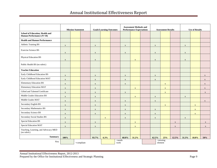# Annual Institutional Effectiveness Report

|                                                     |              | <b>Mission Statement</b> |               | <b>Goals/Learning Outcomes</b> |                   |  | <b>Assessment Methods and</b><br><b>Performance Expectations</b> |              |  |                              | <b>Assessment Results</b> |             | <b>Use of Results</b>     |              |              |
|-----------------------------------------------------|--------------|--------------------------|---------------|--------------------------------|-------------------|--|------------------------------------------------------------------|--------------|--|------------------------------|---------------------------|-------------|---------------------------|--------------|--------------|
| <b>School of Education, Health and</b>              |              |                          |               |                                |                   |  |                                                                  |              |  |                              |                           |             |                           |              |              |
| Human Performance (N=18)                            |              |                          |               |                                |                   |  |                                                                  |              |  |                              |                           |             |                           |              |              |
| <b>Health and Human Performance</b>                 |              |                          |               |                                |                   |  |                                                                  |              |  |                              |                           |             |                           |              |              |
| Athletic Training BS                                | $\mathbf X$  |                          |               | $\mathbf X$                    |                   |  | $\mathbf X$                                                      |              |  | $\mathbf{X}$                 |                           |             | $\mathbf{X}$              |              |              |
| <b>Exercise Science BS</b>                          | $\mathbf X$  |                          |               | $\mathbf X$                    |                   |  | $\mathbf X$                                                      |              |  | $\mathbf X$                  |                           |             | $\mathbf X$               |              |              |
| Physical Education BS                               | $\mathbf X$  |                          |               | $\mathbf X$                    |                   |  |                                                                  | $\mathbf{X}$ |  | $\mathbf X$                  |                           |             | $\boldsymbol{\mathrm{X}}$ |              |              |
| Public Health BS (no rubric)                        |              |                          |               |                                |                   |  |                                                                  |              |  |                              |                           |             |                           |              |              |
| <b>Teacher Education</b>                            |              |                          |               |                                |                   |  |                                                                  |              |  |                              |                           |             |                           |              |              |
| Early Childhood Education BS                        | $\mathbf{X}$ |                          |               | $\mathbf X$                    |                   |  | $\mathbf X$                                                      |              |  | $\mathbf X$                  |                           |             |                           |              | $\mathbf X$  |
| Early Childhood Education MAT                       | $\mathbf{X}$ |                          |               | $\mathbf X$                    |                   |  | $\mathbf X$                                                      |              |  | $\mathbf X$                  |                           |             |                           |              | $\mathbf X$  |
| <b>Elementary Education BS</b>                      | $\mathbf X$  |                          |               | $\mathbf X$                    |                   |  | $\mathbf X$                                                      |              |  |                              | $\mathbf{X}$              |             |                           |              | $\mathbf X$  |
| <b>Elementary Education MAT</b>                     | $\mathbf X$  |                          |               | $\mathbf X$                    |                   |  |                                                                  | $\mathbf{X}$ |  |                              | $\mathbf X$               |             |                           |              | $\mathbf X$  |
| Gifted and Talented Certificate                     | $\mathbf{X}$ |                          |               | $\mathbf X$                    |                   |  | $\mathbf X$                                                      |              |  |                              | $\mathbf{X}$              |             |                           |              | $\mathbf X$  |
| Middle Grades Education BS                          | $\mathbf{X}$ |                          |               | $\mathbf X$                    |                   |  |                                                                  | $\mathbf X$  |  | $\mathbf X$                  |                           |             | $\mathbf X$               |              |              |
| Middle Grades MAT                                   | $\mathbf X$  |                          |               | $\mathbf X$                    |                   |  | $\mathbf X$                                                      |              |  | $\mathbf X$                  |                           |             |                           |              | $\mathbf X$  |
| Secondary English BS                                | $\mathbf{X}$ |                          |               | $\mathbf X$                    |                   |  | $\mathbf{X}$                                                     |              |  |                              | $\mathbf{X}$              |             |                           | $\mathbf{X}$ |              |
| Secondary Mathematics BS                            | $\mathbf X$  |                          |               | $\mathbf X$                    |                   |  | $\mathbf X$                                                      |              |  | $\mathbf X$                  |                           |             |                           | $\mathbf X$  |              |
| Secondary Science BS                                | $\mathbf{X}$ |                          |               | $\mathbf X$                    |                   |  | $\mathbf X$                                                      |              |  | $\mathbf X$                  |                           |             |                           | $\mathbf X$  |              |
| Secondary Social Studies BS                         | $\mathbf X$  |                          |               |                                | $\mathbf X$       |  | $\mathbf X$                                                      |              |  | $\mathbf X$                  |                           |             | $\mathbf{X}$              |              |              |
| <b>Special Education BS</b>                         | $\mathbf X$  |                          |               | $\mathbf X$                    |                   |  |                                                                  | $\mathbf{X}$ |  |                              |                           | $\mathbf X$ |                           |              | $\mathbf{X}$ |
| Special Education MAT                               | $\mathbf{X}$ |                          |               | $\mathbf X$                    |                   |  |                                                                  | $\mathbf{X}$ |  |                              |                           | $\mathbf X$ |                           |              | $\mathbf X$  |
| Teaching, Learning, and Advocacy MED<br>(no rubric) |              |                          |               |                                |                   |  |                                                                  |              |  |                              |                           |             |                           |              |              |
| <b>Summary</b>                                      | 100%         |                          |               | 93.7%                          | 6.3%              |  | 68.8%                                                            | 31.2%        |  | 62.5%                        | 25%                       | 12.5%       | 31.3%                     | 18.8%        | 50%          |
| Key                                                 |              |                          | $=$ compliant |                                | $=$ needs<br>work |  |                                                                  |              |  | $=$ missing<br>$\it element$ |                           |             |                           |              |              |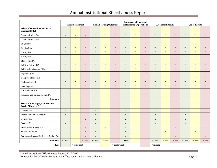# Annual Institutional Effectiveness Report

|                                                                 |                           | <b>Mission Statement</b>  |                                                     | <b>Goals/Learning Outcomes</b> |                         |                          | <b>Assessment Methods and</b><br><b>Performance Expectations</b> |                                               |                                                     |                          | <b>Assessment Results</b> |                                                     | <b>Use of Results</b>    |                          |                                                     |  |
|-----------------------------------------------------------------|---------------------------|---------------------------|-----------------------------------------------------|--------------------------------|-------------------------|--------------------------|------------------------------------------------------------------|-----------------------------------------------|-----------------------------------------------------|--------------------------|---------------------------|-----------------------------------------------------|--------------------------|--------------------------|-----------------------------------------------------|--|
| <b>School of Humanities and Social</b><br>Sciences (N=16)       |                           |                           |                                                     |                                |                         |                          |                                                                  |                                               |                                                     |                          |                           |                                                     |                          |                          |                                                     |  |
| <b>Communication BA</b>                                         | $\overline{\phantom{a}}$  | $\overline{\phantom{a}}$  | $\overline{\phantom{a}}$                            | $\mathbb{L}^{\mathbb{L}}$      | $\mathbb{L}_\mathbb{R}$ | $\overline{\phantom{a}}$ | $\sim$                                                           | $\mathbb{L} \mathbb{L}$                       | $\overline{\phantom{a}}$                            | $\overline{\phantom{a}}$ | $\mathbb{L} \mathbb{L}$   | $\overline{\phantom{a}}$                            | $\overline{\phantom{a}}$ | $\overline{\phantom{a}}$ | $\hspace{0.05cm} -$                                 |  |
| Communication MA                                                | $\mathbb{L}^{\mathbb{L}}$ | $\overline{\phantom{a}}$  | $\overline{\phantom{a}}$                            | $\cdots$                       | $\rightarrow$           | $\overline{\phantom{a}}$ | $\overline{\phantom{a}}$                                         | $\mathord{\hspace{1pt}\text{--}\hspace{1pt}}$ | $\overline{\phantom{m}}$                            | $\overline{\phantom{a}}$ | $\rightarrow$             | $\overline{\phantom{a}}$                            | $\overline{\phantom{a}}$ | $\overline{\phantom{a}}$ | $\hspace{0.05cm} -\hspace{0.05cm} -\hspace{0.05cm}$ |  |
| English BA                                                      | $\overline{\phantom{a}}$  | $\mathbb{H}^{\mathbb{Z}}$ | $\hspace{0.05cm} -$                                 | $\overline{\phantom{a}}$       | $\rightarrow$           | $\hspace{0.05cm} \ldots$ | $\overline{\phantom{a}}$                                         | $\mathord{\hspace{1pt}\text{--}\hspace{1pt}}$ | $\hspace{0.05cm} -\hspace{0.05cm} -\hspace{0.05cm}$ | $\overline{\phantom{a}}$ | $\overline{\phantom{a}}$  | $\overline{\phantom{a}}$                            | $\overline{\phantom{m}}$ | $\overline{\phantom{a}}$ | $\hspace{0.05cm} -$                                 |  |
| English MA                                                      | $\overline{\phantom{a}}$  | $\overline{\phantom{m}}$  | $\hspace{0.05cm} -\hspace{0.05cm} -\hspace{0.05cm}$ | $\overline{\phantom{a}}$       | $\rightarrow$           | $\overline{\phantom{a}}$ | $\overline{\phantom{a}}$                                         | $\mathord{\hspace{1pt}\text{--}\hspace{1pt}}$ | $\overline{\phantom{m}}$                            | $\overline{\phantom{a}}$ | $\rightarrow$             | $\hspace{0.05cm} -\hspace{0.05cm} -\hspace{0.05cm}$ | $\sim$                   | 44                       | $\hspace{0.05cm} -\hspace{0.05cm} -\hspace{0.05cm}$ |  |
| History BA                                                      | $\overline{\phantom{a}}$  | $\overline{\phantom{a}}$  | $\hspace{0.05cm} -$                                 | $\overline{\phantom{a}}$       | $\rightarrow$           | $\hspace{0.05cm} \ldots$ | $\overline{\phantom{a}}$                                         | $\mathord{\hspace{1pt}\text{--}\hspace{1pt}}$ | $\overline{\phantom{a}}$                            | $\overline{\phantom{a}}$ | $\rightarrow$             | $\overline{\phantom{a}}$                            | $\overline{\phantom{m}}$ | $\overline{\phantom{a}}$ | $\hspace{0.05cm} -$                                 |  |
| <b>History MA</b>                                               | $\sim$                    | $\mathbb{H}^{\mathbb{Z}}$ | $\overline{\phantom{a}}$                            | $\overline{\phantom{a}}$       | $\rightarrow$           | $\overline{\phantom{a}}$ | $\overline{\phantom{a}}$                                         | $\rightarrow$                                 | $\overline{\phantom{a}}$                            | $\overline{\phantom{a}}$ | $\mathbb{H}^{\mathbb{Z}}$ | $\overline{\phantom{a}}$                            | $\sim$                   | $\overline{\phantom{a}}$ | $\overline{\phantom{a}}$                            |  |
| Philosophy BA                                                   | $\overline{\phantom{a}}$  | $\mathbb{L} \mathbb{L}$   | $\overline{\phantom{a}}$                            | $\overline{\phantom{a}}$       | $\rightarrow$           | $\overline{\phantom{a}}$ | $\overline{\phantom{a}}$                                         | $\mathbb{L} \mathbb{L}$                       | $\overline{\phantom{a}}$                            | $\overline{\phantom{a}}$ | $\mathbb{H}^{\mathbb{Z}}$ | $\overline{\phantom{a}}$                            | $\overline{\phantom{a}}$ | $\overline{\phantom{a}}$ | $\hspace{0.05cm} -\hspace{0.05cm} -\hspace{0.05cm}$ |  |
| Political Science BA                                            | $\sim$ $\sim$             | $\overline{\phantom{a}}$  | $\overline{\phantom{a}}$                            | $\overline{\phantom{a}}$       | $\rightarrow$           | $\overline{\phantom{a}}$ | $\overline{\phantom{a}}$                                         | $\sim$                                        | $\overline{\phantom{m}}$                            | $\overline{\phantom{a}}$ | $\mathbb{H}^{\mathbb{Z}}$ | $\sim$                                              | $\sim$                   | $\overline{\phantom{a}}$ | $\sim$                                              |  |
| Public Administration MPA                                       | $\sim$                    | $-$                       | $ -$                                                | $\overline{\phantom{a}}$       | $\sim$                  | $\overline{\phantom{a}}$ | $\hspace{0.05cm} -\hspace{0.05cm} -\hspace{0.05cm}$              | $\overline{\phantom{a}}$                      | $\overline{\phantom{a}}$                            | $\overline{\phantom{a}}$ | $-$                       | $\sim$                                              | $\overline{\phantom{a}}$ | $\overline{\phantom{m}}$ | $\sim$                                              |  |
| Psychology BS                                                   | $\sim$ $\sim$             | $\overline{\phantom{a}}$  | $\sim$                                              | $\overline{\phantom{a}}$       | $\rightarrow$           | $\hspace{0.05cm} \ldots$ | $\overline{\phantom{a}}$                                         | $\rightarrow$                                 | $\overline{\phantom{m}}$                            | $\overline{\phantom{a}}$ | $\mathbb{H}^{\mathbb{Z}}$ | $\sim$                                              | $\overline{\phantom{m}}$ | $\overline{\phantom{a}}$ | $\sim$                                              |  |
| Religious Studies BA                                            | $\overline{\phantom{a}}$  | $\sim$                    | $ -$                                                | $\overline{\phantom{a}}$       | $\sim$                  | $\overline{\phantom{a}}$ | $\overline{\phantom{a}}$                                         | $\overline{\phantom{a}}$                      | $\hspace{0.05cm} -\hspace{0.05cm} -\hspace{0.05cm}$ | $\sim$                   | $\sim$                    | $\sim$                                              | $\sim$                   | $\overline{\phantom{m}}$ | $\sim$                                              |  |
| Anthropology BS                                                 | $\overline{\phantom{a}}$  | $\overline{\phantom{a}}$  | $\overline{\phantom{a}}$                            | $\overline{\phantom{a}}$       | $\sim$                  | $\sim$                   | $\overline{\phantom{a}}$                                         | $\sim$                                        | $\overline{\phantom{a}}$                            | $\overline{\phantom{a}}$ | $\sim$                    | $\sim$                                              | $\sim$                   | $\overline{\phantom{a}}$ | $\overline{\phantom{a}}$                            |  |
| Sociology BS                                                    | $\sim$                    | $-$                       | $\sim$                                              | $\overline{\phantom{a}}$       | $\sim$                  | $\overline{\phantom{a}}$ | $\sim$                                                           | $\sim$                                        | $\overline{\phantom{a}}$                            | $\overline{\phantom{a}}$ | $\sim$                    | $- -$                                               | $\sim$                   | $\overline{\phantom{m}}$ | $- -$                                               |  |
| <b>Urban Studies BA</b>                                         | $\overline{\phantom{a}}$  | $\overline{\phantom{a}}$  | $\sim$                                              | $\overline{\phantom{a}}$       | $\sim$                  | $\sim$                   | $\overline{\phantom{a}}$                                         | $\overline{\phantom{a}}$                      | $\overline{\phantom{a}}$                            | $\overline{\phantom{a}}$ | $\sim$                    | $\sim$                                              | $\sim$                   | $\overline{a}$           | $\sim$                                              |  |
| Women's and Gender Studies BA                                   | $\overline{\phantom{a}}$  | $\overline{\phantom{a}}$  | $\hspace{0.05cm} -\hspace{0.05cm} -\hspace{0.05cm}$ | $\overline{\phantom{a}}$       | $\rightarrow$           | $\overline{\phantom{a}}$ | $\overline{\phantom{a}}$                                         | $\overline{\phantom{a}}$                      | $\overline{\phantom{a}}$                            | $\overline{\phantom{a}}$ | $\overline{\phantom{a}}$  | $\overline{\phantom{a}}$                            | $\overline{\phantom{a}}$ | $\overline{\phantom{m}}$ | $\hspace{0.05cm} -\hspace{0.05cm} -\hspace{0.05cm}$ |  |
| <b>Summary</b>                                                  |                           |                           |                                                     |                                |                         |                          |                                                                  |                                               |                                                     |                          |                           |                                                     |                          |                          |                                                     |  |
| <b>School of Languages, Cultures and</b><br>World Affairs (N=7) |                           |                           |                                                     |                                |                         |                          |                                                                  |                                               |                                                     |                          |                           |                                                     |                          |                          |                                                     |  |
| <b>Classics BA</b>                                              | $\mathbf X$               |                           |                                                     | $\mathbf X$                    |                         |                          | $\mathbf X$                                                      |                                               |                                                     | $\mathbf X$              |                           |                                                     | $\mathbf X$              |                          |                                                     |  |
| French and Francophone BA                                       | $\mathbf X$               |                           |                                                     | $\mathbf X$                    |                         |                          | $\mathbf X$                                                      |                                               |                                                     | $\mathbf X$              |                           |                                                     | $\mathbf X$              |                          |                                                     |  |
| German BA                                                       |                           |                           | $\mathbf X$                                         | $\mathbf X$                    |                         |                          | $\mathbf X$                                                      |                                               |                                                     | $\mathbf X$              |                           |                                                     | $\mathbf X$              |                          |                                                     |  |
| Spanish BA                                                      | $\mathbf X$               |                           |                                                     | $\mathbf X$                    |                         |                          | $\mathbf X$                                                      |                                               |                                                     | $\mathbf X$              |                           |                                                     | $\mathbf X$              |                          |                                                     |  |
| <b>International Studies BA</b>                                 |                           |                           | $\mathbf X$                                         |                                | $\mathbf X$             |                          | $\mathbf X$                                                      |                                               |                                                     |                          |                           | $\mathbf X$                                         |                          |                          | $\mathbf X$                                         |  |
| Jewish Studies BA                                               |                           |                           | $\mathbf X$                                         | $\mathbf X$                    |                         |                          | $\mathbf X$                                                      |                                               |                                                     |                          | $\mathbf X$               |                                                     |                          | $\mathbf X$              |                                                     |  |
| Latin American and Caribbean Studies BA                         |                           |                           | $\mathbf X$                                         | $\mathbf X$                    |                         |                          | $\mathbf X$                                                      |                                               |                                                     |                          |                           | $\mathbf X$                                         |                          |                          | $\mathbf X$                                         |  |
| <b>Summary</b>                                                  | 42.8%                     |                           | 57.2%                                               | 85.8%                          | 14.2%                   |                          | 100%                                                             |                                               |                                                     | 57.2%                    | 14.2%                     | 28.6%                                               | 57.2%                    | 14.2%                    | 28.6%                                               |  |
| Key                                                             |                           | $=$ compliant             |                                                     |                                |                         | $=$ needs work $\,$      |                                                                  |                                               |                                                     | $=$ missing              |                           |                                                     |                          |                          |                                                     |  |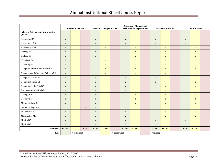|                                                       |             | <b>Mission Statement</b> |             | <b>Goals/Learning Outcomes</b> |             | <b>Assessment Methods and</b><br><b>Performance Expectations</b> |             |              |  | <b>Assessment Results</b> | <b>Use of Results</b> |              |              |  |
|-------------------------------------------------------|-------------|--------------------------|-------------|--------------------------------|-------------|------------------------------------------------------------------|-------------|--------------|--|---------------------------|-----------------------|--------------|--------------|--|
| <b>School of Sciences and Mathematics</b><br>$(N=22)$ |             |                          |             |                                |             |                                                                  |             |              |  |                           |                       |              |              |  |
| Astronomy BA                                          | $\mathbf X$ |                          |             | $\mathbf X$                    |             |                                                                  | $\mathbf X$ |              |  | $\mathbf X$               |                       | $\mathbf X$  |              |  |
| Astrophysics BS                                       | $\mathbf X$ |                          |             | $\mathbf X$                    |             |                                                                  | $\mathbf X$ |              |  | $\mathbf X$               |                       | $\mathbf{X}$ |              |  |
| <b>Biochemistry BS</b>                                | $\mathbf X$ |                          |             |                                | $\mathbf X$ |                                                                  |             | $\mathbf X$  |  |                           | $\mathbf X$           |              | $\mathbf X$  |  |
| <b>Biology BA</b>                                     | $\mathbf X$ |                          |             | $\mathbf X$                    |             |                                                                  |             | $\mathbf X$  |  |                           | $\mathbf X$           |              | $\mathbf{X}$ |  |
| <b>Biology BS</b>                                     | $\mathbf X$ |                          |             | $\mathbf X$                    |             |                                                                  |             | $\mathbf X$  |  |                           | $\mathbf X$           |              | $\mathbf{X}$ |  |
| Chemistry BA                                          | $\mathbf X$ |                          |             |                                | $\mathbf X$ |                                                                  |             | $\mathbf X$  |  |                           | $\mathbf X$           |              | $\mathbf X$  |  |
| Chemistry BS                                          | $\mathbf X$ |                          |             |                                | $\mathbf X$ |                                                                  |             | $\mathbf X$  |  |                           | $\mathbf X$           |              | $\mathbf X$  |  |
| <b>Computer Information Systems BS</b>                | $\mathbf X$ |                          |             |                                | $\mathbf X$ |                                                                  |             | $\mathbf X$  |  |                           | $\mathbf X$           |              | $\mathbf X$  |  |
| Computer and Information Sciences MS                  | $\mathbf X$ |                          |             |                                | $\mathbf X$ |                                                                  |             | $\mathbf X$  |  |                           | $\mathbf X$           |              | $\mathbf{X}$ |  |
| Computer Science BA                                   | $\mathbf X$ |                          |             | $\mathbf X$                    |             |                                                                  | $\mathbf X$ |              |  | $\mathbf X$               |                       |              | $\mathbf{X}$ |  |
| Computer Science BS                                   | $\mathbf X$ |                          |             | $\mathbf X$                    |             |                                                                  | $\mathbf X$ |              |  | $\mathbf X$               |                       |              | $\mathbf{X}$ |  |
| Computing in the Arts BA                              | $\mathbf X$ |                          |             | $\mathbf X$                    |             |                                                                  | $\mathbf X$ |              |  |                           | $\mathbf X$           |              | $\mathbf X$  |  |
| Discovery Informatics BS                              | $\mathbf X$ |                          |             | $\mathbf X$                    |             |                                                                  | $\mathbf X$ |              |  |                           | $\mathbf{X}$          |              | $\mathbf{X}$ |  |
| Geology BA                                            | $\mathbf X$ |                          |             | $\mathbf X$                    |             |                                                                  |             | $\mathbf X$  |  |                           | $\mathbf X$           |              | $\mathbf X$  |  |
| Geology BS                                            | $\mathbf X$ |                          |             | $\mathbf X$                    |             |                                                                  |             | $\mathbf{X}$ |  |                           | $\mathbf{X}$          |              | $\mathbf{X}$ |  |
| Marine Biology BS                                     | $\mathbf X$ |                          |             | $\mathbf X$                    |             |                                                                  |             | $\mathbf X$  |  |                           | $\mathbf X$           |              | $\mathbf{X}$ |  |
| Marine Biology MS                                     |             |                          | $\mathbf X$ | $\mathbf X$                    |             |                                                                  | $\mathbf X$ |              |  | $\mathbf X$               |                       |              | $\mathbf{X}$ |  |
| Mathematics BS                                        | $\mathbf X$ |                          |             | $\mathbf X$                    |             |                                                                  | $\mathbf X$ |              |  |                           | $\mathbf{X}$          |              | $\mathbf{X}$ |  |
| Mathematics MS                                        | $\mathbf X$ |                          |             | $\mathbf X$                    |             |                                                                  | $\mathbf X$ |              |  |                           | $\mathbf{X}$          |              | $\mathbf{X}$ |  |
| Physics BA                                            | $\mathbf X$ |                          |             | $\mathbf X$                    |             |                                                                  | $\mathbf X$ |              |  | $\mathbf X$               |                       | $\mathbf X$  |              |  |
| Physics BS                                            | $\mathbf X$ |                          |             | $\mathbf X$                    |             |                                                                  | $\mathbf X$ |              |  | $\mathbf X$               |                       | $\mathbf X$  |              |  |
| Summary                                               | 95.2%       |                          | 4.8%        | 76.2%                          | 23.8%       |                                                                  | 52.4%       | 47.6%        |  | 33.3%                     | 66.7%                 | $19.0\%$     | 81.0%        |  |
| Key                                                   |             | $=$ compliant            |             |                                |             | $=$ needs work                                                   |             |              |  | $=$ missing               |                       |              |              |  |